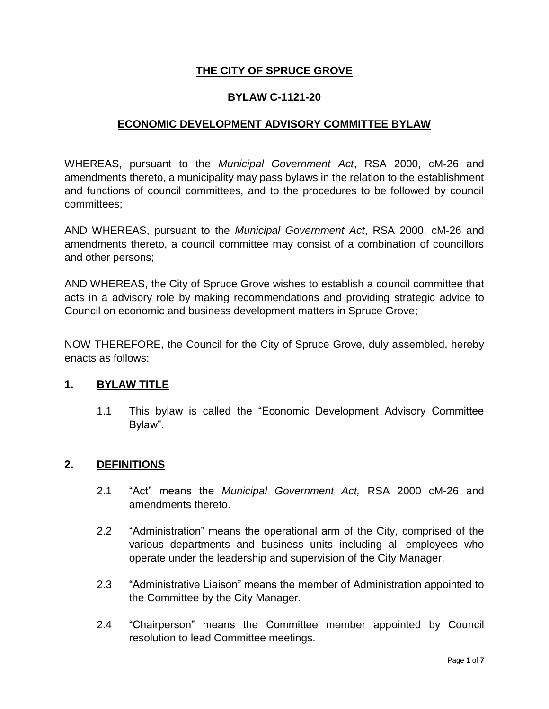## **THE CITY OF SPRUCE GROVE**

#### **BYLAW C-1121-20**

#### **ECONOMIC DEVELOPMENT ADVISORY COMMITTEE BYLAW**

WHEREAS, pursuant to the *Municipal Government Act*, RSA 2000, cM-26 and amendments thereto, a municipality may pass bylaws in the relation to the establishment and functions of council committees, and to the procedures to be followed by council committees;

AND WHEREAS, pursuant to the *Municipal Government Act*, RSA 2000, cM-26 and amendments thereto, a council committee may consist of a combination of councillors and other persons;

AND WHEREAS, the City of Spruce Grove wishes to establish a council committee that acts in a advisory role by making recommendations and providing strategic advice to Council on economic and business development matters in Spruce Grove;

NOW THEREFORE, the Council for the City of Spruce Grove, duly assembled, hereby enacts as follows:

#### **1. BYLAW TITLE**

1.1 This bylaw is called the "Economic Development Advisory Committee Bylaw".

#### **2. DEFINITIONS**

- 2.1 "Act" means the *Municipal Government Act,* RSA 2000 cM-26 and amendments thereto.
- 2.2 "Administration" means the operational arm of the City, comprised of the various departments and business units including all employees who operate under the leadership and supervision of the City Manager.
- 2.3 "Administrative Liaison" means the member of Administration appointed to the Committee by the City Manager.
- 2.4 "Chairperson" means the Committee member appointed by Council resolution to lead Committee meetings.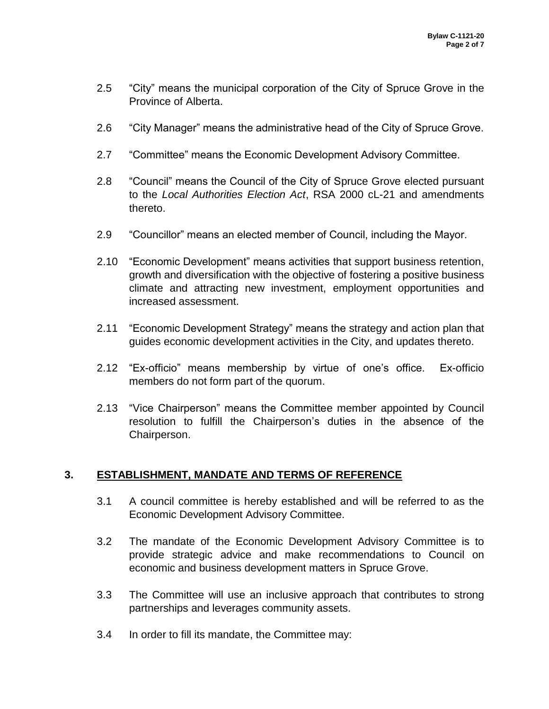- 2.5 "City" means the municipal corporation of the City of Spruce Grove in the Province of Alberta.
- 2.6 "City Manager" means the administrative head of the City of Spruce Grove.
- 2.7 "Committee" means the Economic Development Advisory Committee.
- 2.8 "Council" means the Council of the City of Spruce Grove elected pursuant to the *Local Authorities Election Act*, RSA 2000 cL-21 and amendments thereto.
- 2.9 "Councillor" means an elected member of Council, including the Mayor.
- 2.10 "Economic Development" means activities that support business retention, growth and diversification with the objective of fostering a positive business climate and attracting new investment, employment opportunities and increased assessment.
- 2.11 "Economic Development Strategy" means the strategy and action plan that guides economic development activities in the City, and updates thereto.
- 2.12 "Ex-officio" means membership by virtue of one's office. Ex-officio members do not form part of the quorum.
- 2.13 "Vice Chairperson" means the Committee member appointed by Council resolution to fulfill the Chairperson's duties in the absence of the Chairperson.

## **3. ESTABLISHMENT, MANDATE AND TERMS OF REFERENCE**

- 3.1 A council committee is hereby established and will be referred to as the Economic Development Advisory Committee.
- 3.2 The mandate of the Economic Development Advisory Committee is to provide strategic advice and make recommendations to Council on economic and business development matters in Spruce Grove.
- 3.3 The Committee will use an inclusive approach that contributes to strong partnerships and leverages community assets.
- 3.4 In order to fill its mandate, the Committee may: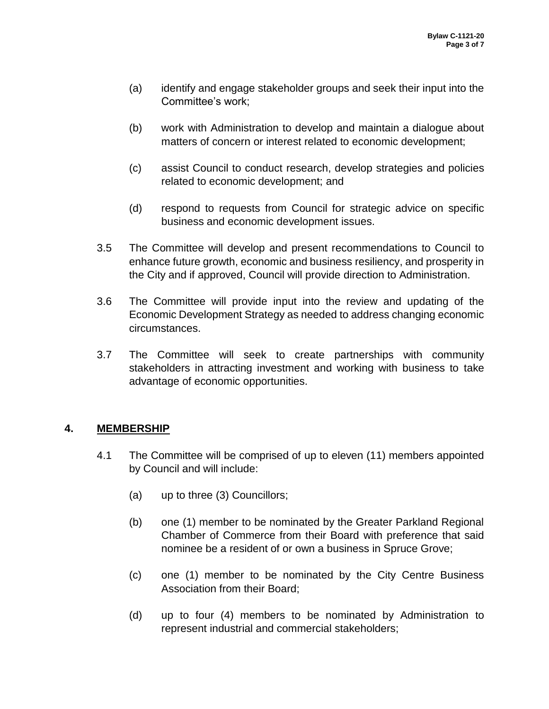- (a) identify and engage stakeholder groups and seek their input into the Committee's work;
- (b) work with Administration to develop and maintain a dialogue about matters of concern or interest related to economic development;
- (c) assist Council to conduct research, develop strategies and policies related to economic development; and
- (d) respond to requests from Council for strategic advice on specific business and economic development issues.
- 3.5 The Committee will develop and present recommendations to Council to enhance future growth, economic and business resiliency, and prosperity in the City and if approved, Council will provide direction to Administration.
- 3.6 The Committee will provide input into the review and updating of the Economic Development Strategy as needed to address changing economic circumstances.
- 3.7 The Committee will seek to create partnerships with community stakeholders in attracting investment and working with business to take advantage of economic opportunities.

# **4. MEMBERSHIP**

- 4.1 The Committee will be comprised of up to eleven (11) members appointed by Council and will include:
	- (a) up to three (3) Councillors;
	- (b) one (1) member to be nominated by the Greater Parkland Regional Chamber of Commerce from their Board with preference that said nominee be a resident of or own a business in Spruce Grove;
	- (c) one (1) member to be nominated by the City Centre Business Association from their Board;
	- (d) up to four (4) members to be nominated by Administration to represent industrial and commercial stakeholders;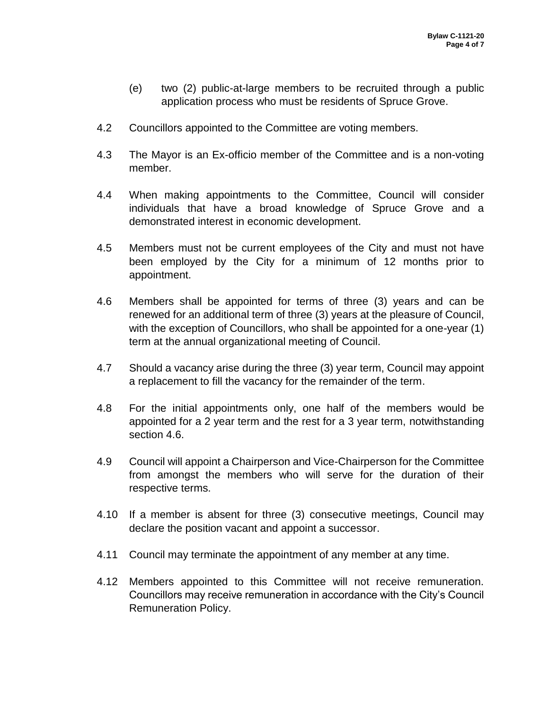- (e) two (2) public-at-large members to be recruited through a public application process who must be residents of Spruce Grove.
- 4.2 Councillors appointed to the Committee are voting members.
- 4.3 The Mayor is an Ex-officio member of the Committee and is a non-voting member.
- 4.4 When making appointments to the Committee, Council will consider individuals that have a broad knowledge of Spruce Grove and a demonstrated interest in economic development.
- 4.5 Members must not be current employees of the City and must not have been employed by the City for a minimum of 12 months prior to appointment.
- 4.6 Members shall be appointed for terms of three (3) years and can be renewed for an additional term of three (3) years at the pleasure of Council, with the exception of Councillors, who shall be appointed for a one-year (1) term at the annual organizational meeting of Council.
- 4.7 Should a vacancy arise during the three (3) year term, Council may appoint a replacement to fill the vacancy for the remainder of the term.
- 4.8 For the initial appointments only, one half of the members would be appointed for a 2 year term and the rest for a 3 year term, notwithstanding section 4.6.
- 4.9 Council will appoint a Chairperson and Vice-Chairperson for the Committee from amongst the members who will serve for the duration of their respective terms.
- 4.10 If a member is absent for three (3) consecutive meetings, Council may declare the position vacant and appoint a successor.
- 4.11 Council may terminate the appointment of any member at any time.
- 4.12 Members appointed to this Committee will not receive remuneration. Councillors may receive remuneration in accordance with the City's Council Remuneration Policy.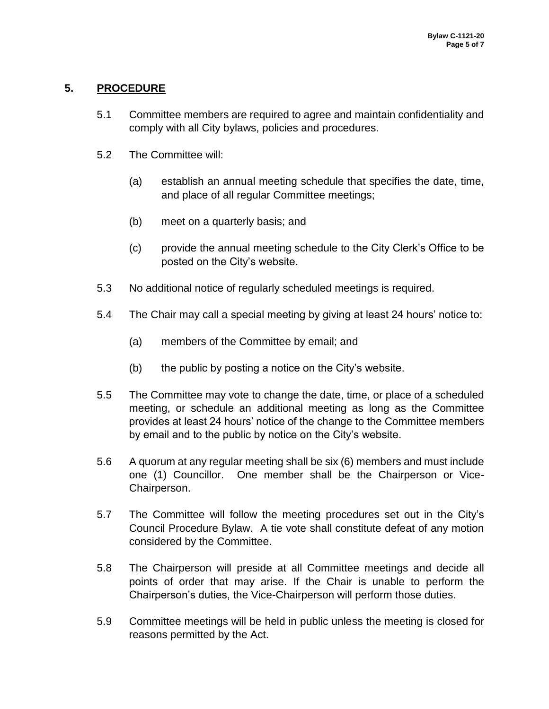# **5. PROCEDURE**

- 5.1 Committee members are required to agree and maintain confidentiality and comply with all City bylaws, policies and procedures.
- 5.2 The Committee will:
	- (a) establish an annual meeting schedule that specifies the date, time, and place of all regular Committee meetings;
	- (b) meet on a quarterly basis; and
	- (c) provide the annual meeting schedule to the City Clerk's Office to be posted on the City's website.
- 5.3 No additional notice of regularly scheduled meetings is required.
- 5.4 The Chair may call a special meeting by giving at least 24 hours' notice to:
	- (a) members of the Committee by email; and
	- (b) the public by posting a notice on the City's website.
- 5.5 The Committee may vote to change the date, time, or place of a scheduled meeting, or schedule an additional meeting as long as the Committee provides at least 24 hours' notice of the change to the Committee members by email and to the public by notice on the City's website.
- 5.6 A quorum at any regular meeting shall be six (6) members and must include one (1) Councillor. One member shall be the Chairperson or Vice-Chairperson.
- 5.7 The Committee will follow the meeting procedures set out in the City's Council Procedure Bylaw. A tie vote shall constitute defeat of any motion considered by the Committee.
- 5.8 The Chairperson will preside at all Committee meetings and decide all points of order that may arise. If the Chair is unable to perform the Chairperson's duties, the Vice-Chairperson will perform those duties.
- 5.9 Committee meetings will be held in public unless the meeting is closed for reasons permitted by the Act.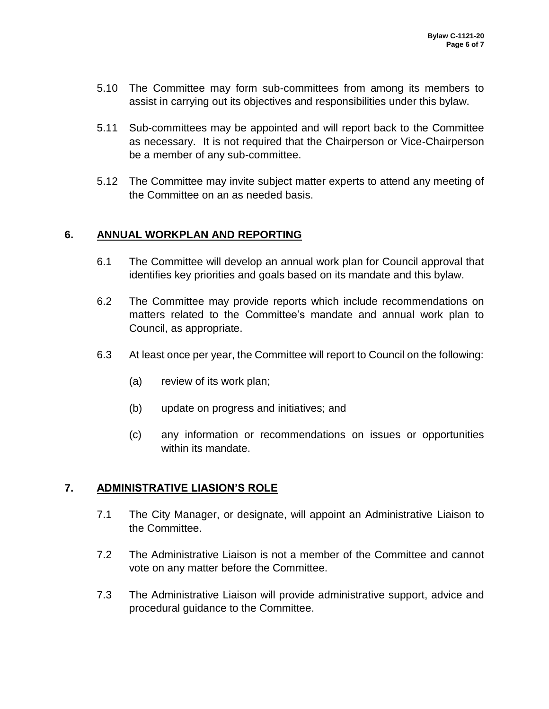- 5.10 The Committee may form sub-committees from among its members to assist in carrying out its objectives and responsibilities under this bylaw.
- 5.11 Sub-committees may be appointed and will report back to the Committee as necessary. It is not required that the Chairperson or Vice-Chairperson be a member of any sub-committee.
- 5.12 The Committee may invite subject matter experts to attend any meeting of the Committee on an as needed basis.

## **6. ANNUAL WORKPLAN AND REPORTING**

- 6.1 The Committee will develop an annual work plan for Council approval that identifies key priorities and goals based on its mandate and this bylaw.
- 6.2 The Committee may provide reports which include recommendations on matters related to the Committee's mandate and annual work plan to Council, as appropriate.
- 6.3 At least once per year, the Committee will report to Council on the following:
	- (a) review of its work plan;
	- (b) update on progress and initiatives; and
	- (c) any information or recommendations on issues or opportunities within its mandate.

## **7. ADMINISTRATIVE LIASION'S ROLE**

- 7.1 The City Manager, or designate, will appoint an Administrative Liaison to the Committee.
- 7.2 The Administrative Liaison is not a member of the Committee and cannot vote on any matter before the Committee.
- 7.3 The Administrative Liaison will provide administrative support, advice and procedural guidance to the Committee.